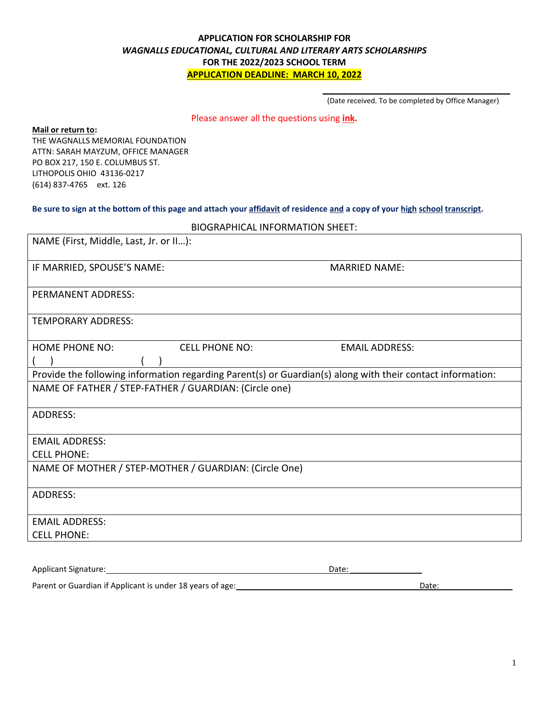## **APPLICATION FOR SCHOLARSHIP FOR** *WAGNALLS EDUCATIONAL, CULTURAL AND LITERARY ARTS SCHOLARSHIPS* **FOR THE 2022/2023 SCHOOL TERM APPLICATION DEADLINE: MARCH 10, 2022**

**\_\_\_\_\_\_\_\_\_\_\_\_\_\_\_\_\_\_\_\_\_\_\_\_\_\_\_\_\_\_** (Date received. To be completed by Office Manager)

Please answer all the questions using **ink.**

**Mail or return to:**

THE WAGNALLS MEMORIAL FOUNDATION ATTN: SARAH MAYZUM, OFFICE MANAGER PO BOX 217, 150 E. COLUMBUS ST. LITHOPOLIS OHIO 43136-0217 (614) 837-4765 ext. 126

#### **Be sure to sign at the bottom of this page and attach your affidavit of residence and a copy of your high school transcript.**

| <b>BIOGRAPHICAL INFORMATION SHEET:</b> |  |
|----------------------------------------|--|
|----------------------------------------|--|

| NAME (First, Middle, Last, Jr. or II):                                                                     |                       |
|------------------------------------------------------------------------------------------------------------|-----------------------|
| IF MARRIED, SPOUSE'S NAME:                                                                                 | <b>MARRIED NAME:</b>  |
| PERMANENT ADDRESS:                                                                                         |                       |
| <b>TEMPORARY ADDRESS:</b>                                                                                  |                       |
| <b>HOME PHONE NO:</b><br><b>CELL PHONE NO:</b>                                                             | <b>EMAIL ADDRESS:</b> |
| Provide the following information regarding Parent(s) or Guardian(s) along with their contact information: |                       |
| NAME OF FATHER / STEP-FATHER / GUARDIAN: (Circle one)                                                      |                       |
| <b>ADDRESS:</b>                                                                                            |                       |
| <b>EMAIL ADDRESS:</b>                                                                                      |                       |
| <b>CELL PHONE:</b>                                                                                         |                       |
| NAME OF MOTHER / STEP-MOTHER / GUARDIAN: (Circle One)                                                      |                       |
| <b>ADDRESS:</b>                                                                                            |                       |
| <b>EMAIL ADDRESS:</b>                                                                                      |                       |
| <b>CELL PHONE:</b>                                                                                         |                       |
|                                                                                                            |                       |
| <b>Applicant Signature:</b>                                                                                | Date:                 |

Parent or Guardian if Applicant is under 18 years of age: Date: \_\_\_\_\_\_\_\_\_\_\_\_\_\_\_\_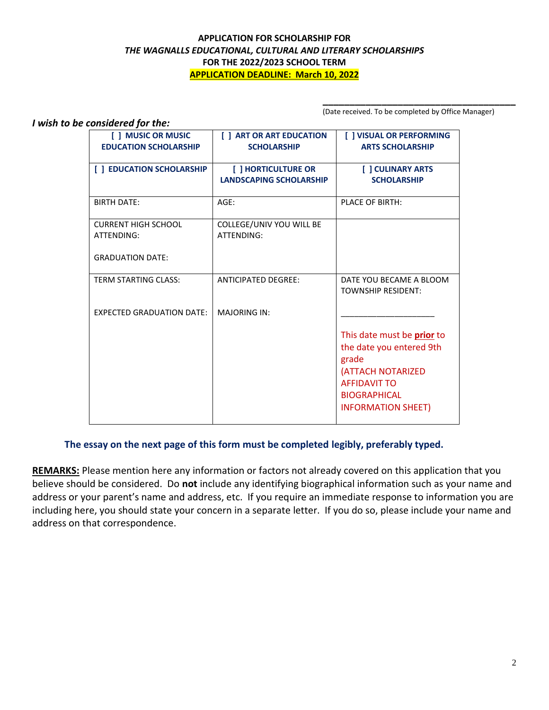## **APPLICATION FOR SCHOLARSHIP FOR** *THE WAGNALLS EDUCATIONAL, CULTURAL AND LITERARY SCHOLARSHIPS* **FOR THE 2022/2023 SCHOOL TERM APPLICATION DEADLINE: March 10, 2022**

(Date received. To be completed by Office Manager)

**\_\_\_\_\_\_\_\_\_\_\_\_\_\_\_\_\_\_\_\_\_\_\_\_\_\_\_\_\_\_\_\_\_\_\_\_**

| I wish to be considered for the: |                                                    |                                                       |                                                                                                                                                                        |  |  |  |  |
|----------------------------------|----------------------------------------------------|-------------------------------------------------------|------------------------------------------------------------------------------------------------------------------------------------------------------------------------|--|--|--|--|
|                                  | [ ] MUSIC OR MUSIC<br><b>EDUCATION SCHOLARSHIP</b> | [ ] ART OR ART EDUCATION<br><b>SCHOLARSHIP</b>        | [ ] VISUAL OR PERFORMING<br><b>ARTS SCHOLARSHIP</b>                                                                                                                    |  |  |  |  |
|                                  | [ ] EDUCATION SCHOLARSHIP                          | [ ] HORTICULTURE OR<br><b>LANDSCAPING SCHOLARSHIP</b> | [ ] CULINARY ARTS<br><b>SCHOLARSHIP</b>                                                                                                                                |  |  |  |  |
|                                  | <b>BIRTH DATE:</b>                                 | AGE:                                                  | <b>PLACE OF BIRTH:</b>                                                                                                                                                 |  |  |  |  |
|                                  | <b>CURRENT HIGH SCHOOL</b><br>ATTENDING:           | COLLEGE/UNIV YOU WILL BE<br>ATTENDING:                |                                                                                                                                                                        |  |  |  |  |
|                                  | <b>GRADUATION DATE:</b>                            |                                                       |                                                                                                                                                                        |  |  |  |  |
|                                  | <b>TERM STARTING CLASS:</b>                        | <b>ANTICIPATED DEGREE:</b>                            | DATE YOU BECAME A BLOOM<br><b>TOWNSHIP RESIDENT:</b>                                                                                                                   |  |  |  |  |
|                                  | <b>EXPECTED GRADUATION DATE:</b>                   | <b>MAJORING IN:</b>                                   |                                                                                                                                                                        |  |  |  |  |
|                                  |                                                    |                                                       | This date must be <b>prior</b> to<br>the date you entered 9th<br>grade<br>(ATTACH NOTARIZED<br><b>AFFIDAVIT TO</b><br><b>BIOGRAPHICAL</b><br><b>INFORMATION SHEET)</b> |  |  |  |  |

## **The essay on the next page of this form must be completed legibly, preferably typed.**

**REMARKS:** Please mention here any information or factors not already covered on this application that you believe should be considered. Do **not** include any identifying biographical information such as your name and address or your parent's name and address, etc. If you require an immediate response to information you are including here, you should state your concern in a separate letter. If you do so, please include your name and address on that correspondence.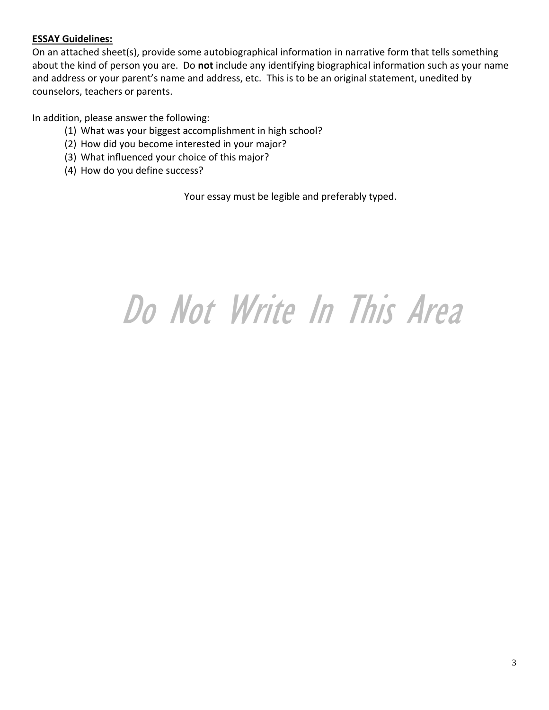## **ESSAY Guidelines:**

On an attached sheet(s), provide some autobiographical information in narrative form that tells something about the kind of person you are. Do **not** include any identifying biographical information such as your name and address or your parent's name and address, etc. This is to be an original statement, unedited by counselors, teachers or parents.

In addition, please answer the following:

- (1) What was your biggest accomplishment in high school?
- (2) How did you become interested in your major?
- (3) What influenced your choice of this major?
- (4) How do you define success?

Your essay must be legible and preferably typed.

# Do Not Write In This Area